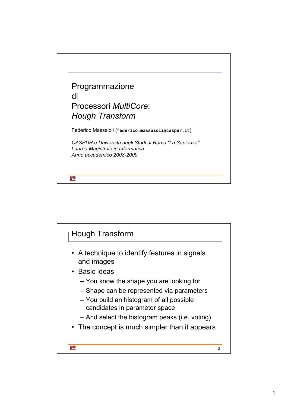

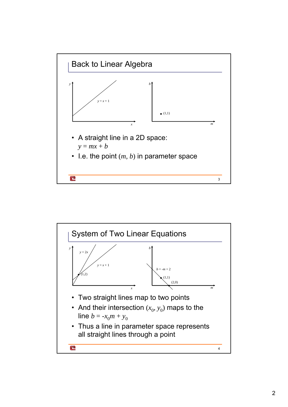

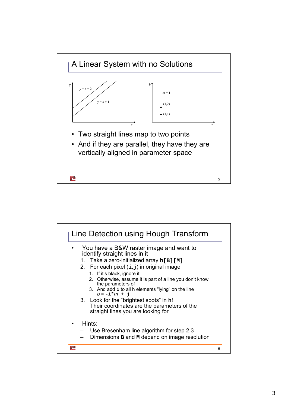

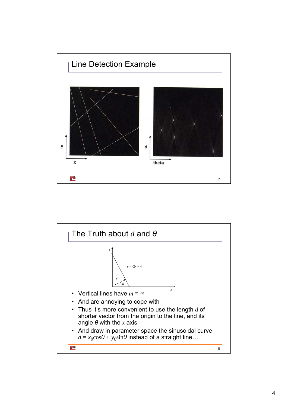